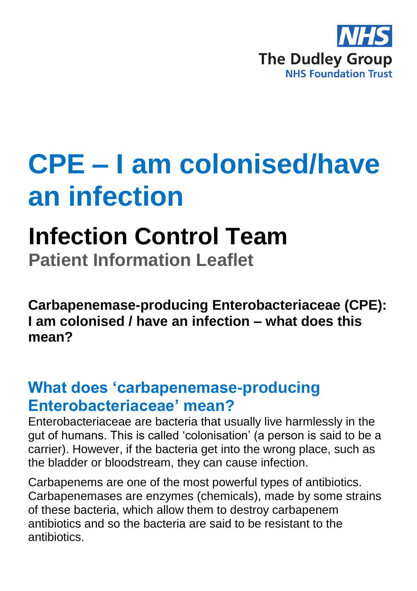

# **CPE – I am colonised/have an infection**

# **Infection Control Team**

**Patient Information Leaflet**

**Carbapenemase-producing Enterobacteriaceae (CPE): I am colonised / have an infection – what does this mean?** 

#### **What does 'carbapenemase-producing Enterobacteriaceae' mean?**

Enterobacteriaceae are bacteria that usually live harmlessly in the gut of humans. This is called 'colonisation' (a person is said to be a carrier). However, if the bacteria get into the wrong place, such as the bladder or bloodstream, they can cause infection.

Carbapenems are one of the most powerful types of antibiotics. Carbapenemases are enzymes (chemicals), made by some strains of these bacteria, which allow them to destroy carbapenem antibiotics and so the bacteria are said to be resistant to the antibiotics.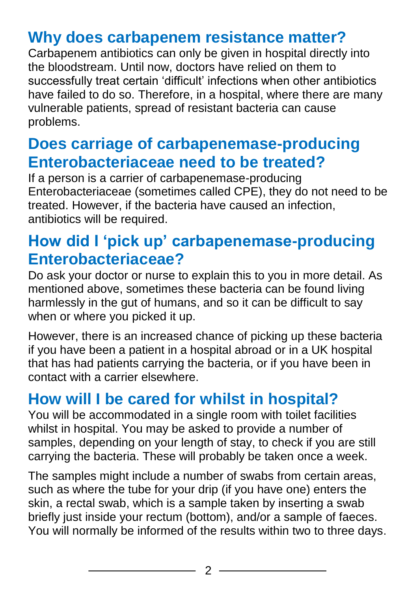### **Why does carbapenem resistance matter?**

Carbapenem antibiotics can only be given in hospital directly into the bloodstream. Until now, doctors have relied on them to successfully treat certain 'difficult' infections when other antibiotics have failed to do so. Therefore, in a hospital, where there are many vulnerable patients, spread of resistant bacteria can cause problems.

#### **Does carriage of carbapenemase-producing Enterobacteriaceae need to be treated?**

If a person is a carrier of carbapenemase-producing Enterobacteriaceae (sometimes called CPE), they do not need to be treated. However, if the bacteria have caused an infection, antibiotics will be required.

#### **How did I 'pick up' carbapenemase-producing Enterobacteriaceae?**

Do ask your doctor or nurse to explain this to you in more detail. As mentioned above, sometimes these bacteria can be found living harmlessly in the gut of humans, and so it can be difficult to say when or where you picked it up.

However, there is an increased chance of picking up these bacteria if you have been a patient in a hospital abroad or in a UK hospital that has had patients carrying the bacteria, or if you have been in contact with a carrier elsewhere.

## **How will I be cared for whilst in hospital?**

You will be accommodated in a single room with toilet facilities whilst in hospital. You may be asked to provide a number of samples, depending on your length of stay, to check if you are still carrying the bacteria. These will probably be taken once a week.

The samples might include a number of swabs from certain areas, such as where the tube for your drip (if you have one) enters the skin, a rectal swab, which is a sample taken by inserting a swab briefly just inside your rectum (bottom), and/or a sample of faeces. You will normally be informed of the results within two to three days.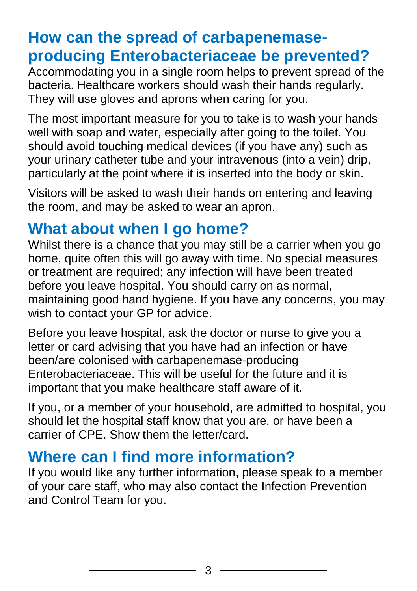#### **How can the spread of carbapenemaseproducing Enterobacteriaceae be prevented?**

Accommodating you in a single room helps to prevent spread of the bacteria. Healthcare workers should wash their hands regularly. They will use gloves and aprons when caring for you.

The most important measure for you to take is to wash your hands well with soap and water, especially after going to the toilet. You should avoid touching medical devices (if you have any) such as your urinary catheter tube and your intravenous (into a vein) drip, particularly at the point where it is inserted into the body or skin.

Visitors will be asked to wash their hands on entering and leaving the room, and may be asked to wear an apron.

#### **What about when I go home?**

Whilst there is a chance that you may still be a carrier when you go home, quite often this will go away with time. No special measures or treatment are required; any infection will have been treated before you leave hospital. You should carry on as normal, maintaining good hand hygiene. If you have any concerns, you may wish to contact your GP for advice.

Before you leave hospital, ask the doctor or nurse to give you a letter or card advising that you have had an infection or have been/are colonised with carbapenemase-producing Enterobacteriaceae. This will be useful for the future and it is important that you make healthcare staff aware of it.

If you, or a member of your household, are admitted to hospital, you should let the hospital staff know that you are, or have been a carrier of CPE. Show them the letter/card.

#### **Where can I find more information?**

If you would like any further information, please speak to a member of your care staff, who may also contact the Infection Prevention and Control Team for you.